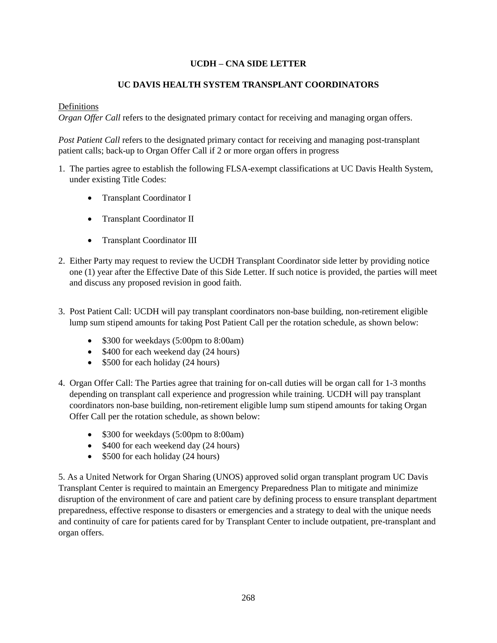## **UCDH – CNA SIDE LETTER**

## **UC DAVIS HEALTH SYSTEM TRANSPLANT COORDINATORS**

## Definitions

*Organ Offer Call refers to the designated primary contact for receiving and managing organ offers.* 

*Post Patient Call* refers to the designated primary contact for receiving and managing post-transplant patient calls; back-up to Organ Offer Call if 2 or more organ offers in progress

- 1. The parties agree to establish the following FLSA-exempt classifications at UC Davis Health System, under existing Title Codes:
	- Transplant Coordinator I
	- Transplant Coordinator II
	- Transplant Coordinator III
- 2. Either Party may request to review the UCDH Transplant Coordinator side letter by providing notice one (1) year after the Effective Date of this Side Letter. If such notice is provided, the parties will meet and discuss any proposed revision in good faith.
- 3. Post Patient Call: UCDH will pay transplant coordinators non-base building, non-retirement eligible lump sum stipend amounts for taking Post Patient Call per the rotation schedule, as shown below:
	- \$300 for weekdays (5:00pm to 8:00am)
	- \$400 for each weekend day (24 hours)
	- \$500 for each holiday (24 hours)
- 4. Organ Offer Call: The Parties agree that training for on-call duties will be organ call for 1-3 months depending on transplant call experience and progression while training. UCDH will pay transplant coordinators non-base building, non-retirement eligible lump sum stipend amounts for taking Organ Offer Call per the rotation schedule, as shown below:
	- \$300 for weekdays (5:00pm to 8:00am)
	- \$400 for each weekend day (24 hours)
	- $\bullet$  \$500 for each holiday (24 hours)

5. As a United Network for Organ Sharing (UNOS) approved solid organ transplant program UC Davis Transplant Center is required to maintain an Emergency Preparedness Plan to mitigate and minimize disruption of the environment of care and patient care by defining process to ensure transplant department preparedness, effective response to disasters or emergencies and a strategy to deal with the unique needs and continuity of care for patients cared for by Transplant Center to include outpatient, pre-transplant and organ offers.